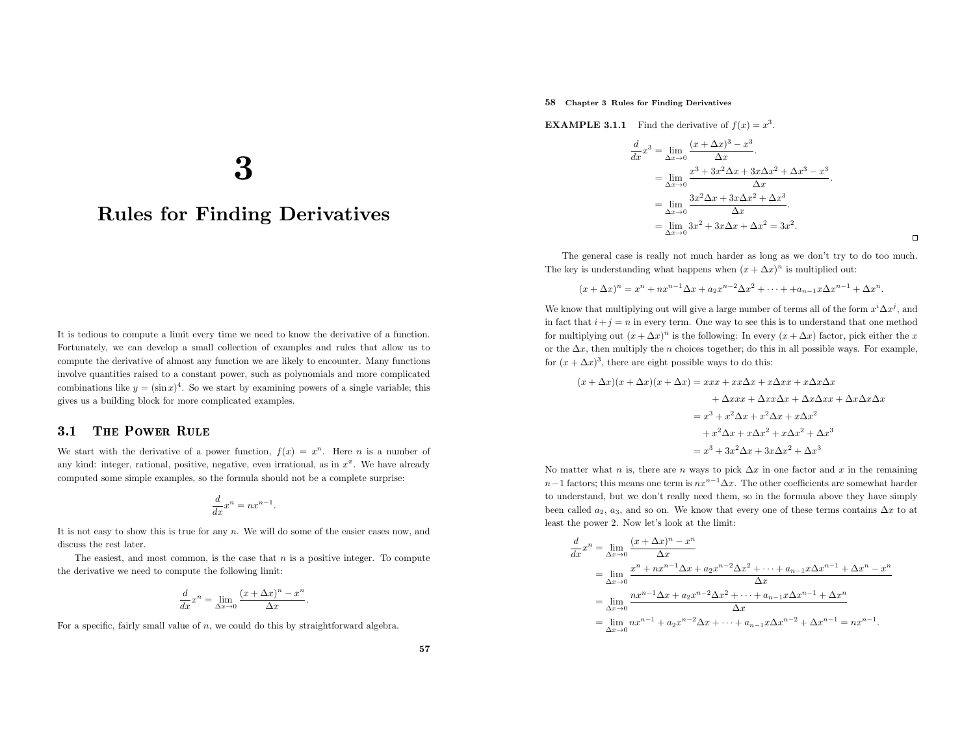# 58 Chapter <sup>3</sup> Rules for Finding Derivatives

**EXAMPLE 3.1.1** Find the derivative of  $f(x) = x^3$ .

$$
\frac{d}{dx}x^3 = \lim_{\Delta x \to 0} \frac{(x + \Delta x)^3 - x^3}{\Delta x}.
$$
  
= 
$$
\lim_{\Delta x \to 0} \frac{x^3 + 3x^2 \Delta x + 3x \Delta x^2 + \Delta x^3 - x^3}{\Delta x}.
$$
  
= 
$$
\lim_{\Delta x \to 0} \frac{3x^2 \Delta x + 3x \Delta x^2 + \Delta x^3}{\Delta x}.
$$
  
= 
$$
\lim_{\Delta x \to 0} 3x^2 + 3x \Delta x + \Delta x^2 = 3x^2.
$$

 $\Box$ 

The genera<sup>l</sup> case is really not much harder as long as we don't try to do too much. The key is understanding what happens when  $(x + \Delta x)^n$  is multiplied out:

$$
(x + \Delta x)^n = x^n + nx^{n-1}\Delta x + a_2x^{n-2}\Delta x^2 + \dots + a_{n-1}x\Delta x^{n-1} + \Delta x^n.
$$

We know that multiplying out will give a large number of terms all of the form  $x^i \Delta x^j$ , and in fact that  $i+j = n$  in every term. One way to see this is to understand that one method for multiplying out  $(x + \Delta x)^n$  is the following: In every  $(x + \Delta x)$  factor, pick either the x or the  $\Delta x$ , then multiply the *n* choices together; do this in all possible ways. For example, for  $(x + \Delta x)^3$ , there are eight possible ways to do this:

$$
(x + \Delta x)(x + \Delta x)(x + \Delta x) = xxx + xx\Delta x + x\Delta xx + x\Delta x\Delta x
$$

$$
+ \Delta xxx + \Delta xx\Delta x + \Delta x\Delta xx + \Delta x\Delta x\Delta x
$$

$$
= x^3 + x^2\Delta x + x^2\Delta x + x\Delta x^2
$$

$$
+ x^2\Delta x + x\Delta x^2 + x\Delta x^2 + \Delta x^3
$$

$$
= x^3 + 3x^2\Delta x + 3x\Delta x^2 + \Delta x^3
$$

No matter what *n* is, there are *n* ways to pick  $\Delta x$  in one factor and x in the remaining  $n-1$  factors; this means one term is  $nx^{n-1}\Delta x$ . The other coefficients are somewhat harder to understand, but we don't really need them, so in the formula above they have simplybeen called  $a_2$ ,  $a_3$ , and so on. We know that every one of these terms contains  $\Delta x$  to at least the power 2. Now let's look at the limit:

$$
\frac{d}{dx}x^{n} = \lim_{\Delta x \to 0} \frac{(x + \Delta x)^{n} - x^{n}}{\Delta x}
$$
\n
$$
= \lim_{\Delta x \to 0} \frac{x^{n} + nx^{n-1} \Delta x + a_{2}x^{n-2} \Delta x^{2} + \dots + a_{n-1}x \Delta x^{n-1} + \Delta x^{n} - x^{n}}{\Delta x}
$$
\n
$$
= \lim_{\Delta x \to 0} \frac{nx^{n-1} \Delta x + a_{2}x^{n-2} \Delta x^{2} + \dots + a_{n-1}x \Delta x^{n-1} + \Delta x^{n}}{\Delta x}
$$
\n
$$
= \lim_{\Delta x \to 0} nx^{n-1} + a_{2}x^{n-2} \Delta x + \dots + a_{n-1}x \Delta x^{n-2} + \Delta x^{n-1} = nx^{n-1}.
$$

3

# Rules for Finding Derivatives

It is tedious to compute <sup>a</sup> limit every time we need to know the derivative of <sup>a</sup> function. Fortunately, we can develop <sup>a</sup> small collection of examples and rules that allow us to compute the derivative of almost any function we are likely to encounter. Many functions involve quantities raised to <sup>a</sup> constant power, such as polynomials and more complicatedcombinations like  $y = (\sin x)^4$ . So we start by examining powers of a single variable; this <sup>g</sup>ives us <sup>a</sup> building block for more complicated examples.

### 3.11 THE POWER RULE

We start with the derivative of a power function,  $f(x) = x^n$ . Here *n* is a number of any kind: integer, rational, positive, negative, even irrational, as in  $x^{\pi}$ . We have already computed some simple examples, so the formula should not be <sup>a</sup> complete surprise:

$$
\frac{d}{dx}x^n = nx^{n-1}.
$$

It is not easy to show this is true for any <sup>n</sup>. We will do some of the easier cases now, anddiscuss the rest later.

The easiest, and most common, is the case that  $n$  is a positive integer. To compute the derivative we need to compute the following limit:

$$
\frac{d}{dx}x^n = \lim_{\Delta x \to 0} \frac{(x + \Delta x)^n - x^n}{\Delta x}.
$$

For a specific, fairly small value of  $n$ , we could do this by straightforward algebra.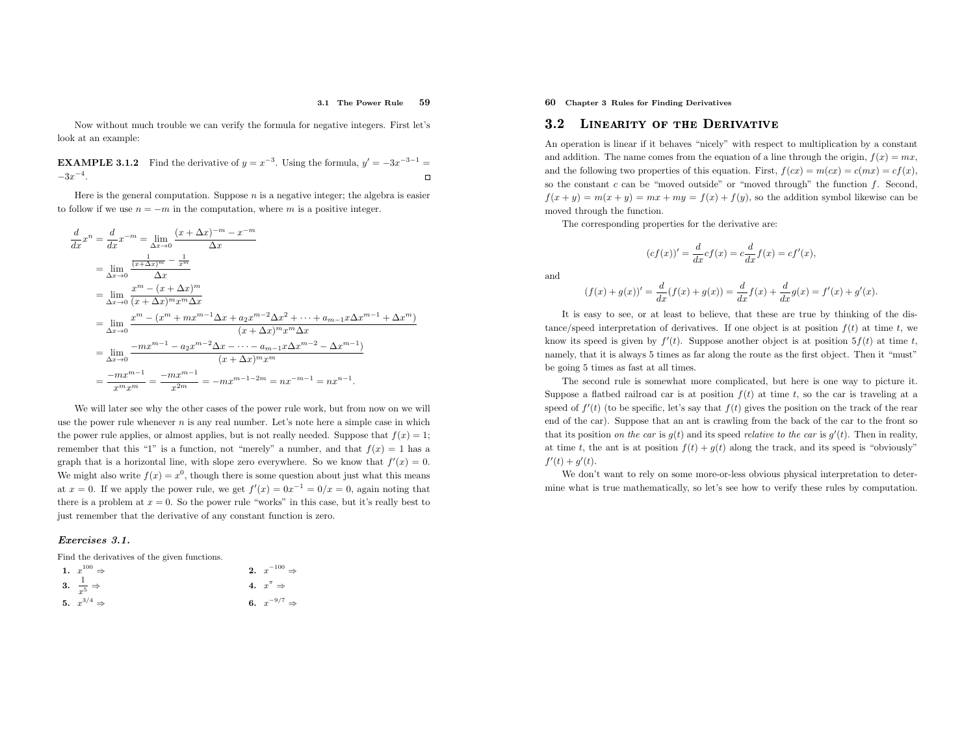#### 3.1 The Power Rule<sup>59</sup>

Now without much trouble we can verify the formula for negative integers. First let's look at an example:

**EXAMPLE 3.1.2** Find the derivative of  $y = x^{-3}$ . Using the formula,  $y' = -3x^{-3-1} =$  $-3x^{-4}$ .

Here is the general computation. Suppose  $n$  is a negative integer; the algebra is easier to follow if we use  $n = -m$  in the computation, where m is a positive integer.

$$
\frac{d}{dx}x^{n} = \frac{d}{dx}x^{-m} = \lim_{\Delta x \to 0} \frac{(x + \Delta x)^{-m} - x^{-m}}{\Delta x}
$$
\n
$$
= \lim_{\Delta x \to 0} \frac{\frac{1}{(x + \Delta x)^{m}} - \frac{1}{x^{m}}}{\Delta x}
$$
\n
$$
= \lim_{\Delta x \to 0} \frac{x^{m} - (x + \Delta x)^{m}}{(x + \Delta x)^{m}x^{m} \Delta x}
$$
\n
$$
= \lim_{\Delta x \to 0} \frac{x^{m} - (x^{m} + mx^{m-1}\Delta x + a_{2}x^{m-2}\Delta x^{2} + \dots + a_{m-1}x\Delta x^{m-1} + \Delta x^{m})}{(x + \Delta x)^{m}x^{m} \Delta x}
$$
\n
$$
= \lim_{\Delta x \to 0} \frac{-mx^{m-1} - a_{2}x^{m-2}\Delta x - \dots - a_{m-1}x\Delta x^{m-2} - \Delta x^{m-1}}{(x + \Delta x)^{m}x^{m}}
$$
\n
$$
= \frac{-mx^{m-1}}{x^{m}x^{m}} = \frac{-mx^{m-1}}{x^{2m}} = -mx^{m-1-2m} = nx^{-m-1} = nx^{n-1}.
$$

We will later see why the other cases of the power rule work, but from now on we will use the power rule whenever  $n$  is any real number. Let's note here a simple case in which the power rule applies, or almost applies, but is not really needed. Suppose that  $f(x) = 1$ ; remember that this "1" is a function, not "merely" a number, and that  $f(x) = 1$  has a graph that is a horizontal line, with slope zero everywhere. So we know that  $f'(x) = 0$ . We might also write  $f(x) = x^0$ , though there is some question about just what this means at  $x = 0$ . If we apply the power rule, we get  $f'(x) = 0x^{-1} = 0/x = 0$ , again noting that there is a problem at  $x = 0$ . So the power rule "works" in this case, but it's really best to just remember that the derivative of any constant function is zero.

### Exercises 3.1.

Find the derivatives of the <sup>g</sup>iven functions.

| 1. $x^{100} \Rightarrow$       | <b>2.</b> $x^{-100} \Rightarrow$ |
|--------------------------------|----------------------------------|
| 3. $\frac{1}{x^5} \Rightarrow$ | 4. $x^{\pi} \Rightarrow$         |
| 5. $x^{3/4} \Rightarrow$       | 6. $x^{-9/7} \Rightarrow$        |

60 Chapter <sup>3</sup> Rules for Finding Derivatives

#### 3.22 LINEARITY OF THE DERIVATIVE

An operation is linear if it behaves "nicely" with respect to multiplication by <sup>a</sup> constant and addition. The name comes from the equation of a line through the origin,  $f(x) = mx$ , and the following two properties of this equation. First,  $f(cx) = m(cx) = c(mx) = cf(x)$ , so the constant  $c$  can be "moved outside" or "moved through" the function  $f$ . Second,  $f(x + y) = m(x + y) = mx + my = f(x) + f(y)$ , so the addition symbol likewise can be moved through the function.

The corresponding properties for the derivative are:

$$
(cf(x))' = \frac{d}{dx}cf(x) = c\frac{d}{dx}f(x) = cf'(x),
$$

and

$$
(f(x) + g(x))' = \frac{d}{dx}(f(x) + g(x)) = \frac{d}{dx}f(x) + \frac{d}{dx}g(x) = f'(x) + g'(x).
$$

It is easy to see, or at least to believe, that these are true by thinking of the distance/speed interpretation of derivatives. If one object is at position  $f(t)$  at time t, we know its speed is given by  $f'(t)$ . Suppose another object is at position  $5f(t)$  at time t, namely, that it is always <sup>5</sup> times as far along the route as the first object. Then it "must" be going <sup>5</sup> times as fast at all times.

The second rule is somewhat more complicated, but here is one way to <sup>p</sup>icture it. Suppose a flatbed railroad car is at position  $f(t)$  at time t, so the car is traveling at a speed of  $f'(t)$  (to be specific, let's say that  $f(t)$  gives the position on the track of the rear end of the car). Suppose that an ant is crawling from the back of the car to the front so that its position *on the car* is  $g(t)$  and its speed *relative to the car* is  $g'(t)$ . Then in reality, at time t, the ant is at position  $f(t) + g(t)$  along the track, and its speed is "obviously"  $f'(t) + g'(t)$ .

We don't want to rely on some more-or-less obvious physical interpretation to determine what is true mathematically, so let's see how to verify these rules by computation.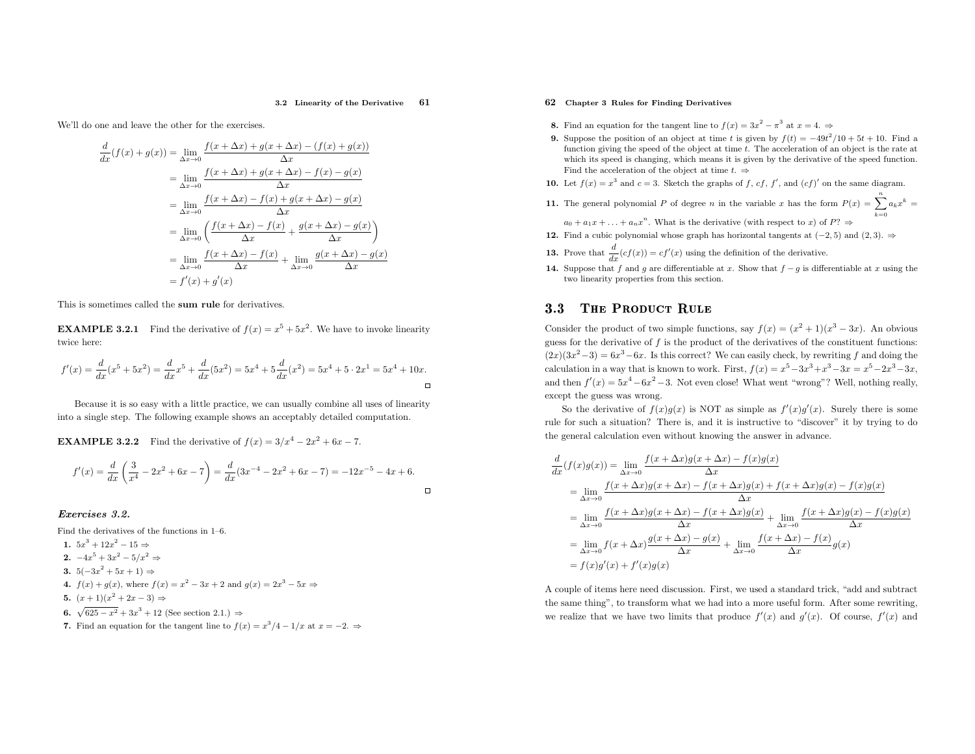#### 3.2 Linearity of the Derivative<sup>61</sup>

 $\Box$ 

We'll do one and leave the other for the exercises.

 $\frac{d}{dx}$ 

$$
(f(x) + g(x)) = \lim_{\Delta x \to 0} \frac{f(x + \Delta x) + g(x + \Delta x) - (f(x) + g(x))}{\Delta x}
$$
  
\n
$$
= \lim_{\Delta x \to 0} \frac{f(x + \Delta x) + g(x + \Delta x) - f(x) - g(x)}{\Delta x}
$$
  
\n
$$
= \lim_{\Delta x \to 0} \frac{f(x + \Delta x) - f(x) + g(x + \Delta x) - g(x)}{\Delta x}
$$
  
\n
$$
= \lim_{\Delta x \to 0} \left( \frac{f(x + \Delta x) - f(x)}{\Delta x} + \frac{g(x + \Delta x) - g(x)}{\Delta x} \right)
$$
  
\n
$$
= \lim_{\Delta x \to 0} \frac{f(x + \Delta x) - f(x)}{\Delta x} + \lim_{\Delta x \to 0} \frac{g(x + \Delta x) - g(x)}{\Delta x}
$$
  
\n
$$
= f'(x) + g'(x)
$$

This is sometimes called the sum rule for derivatives.

**EXAMPLE 3.2.1** Find the derivative of  $f(x) = x^5 + 5x^2$ . We have to invoke linearity twice here:

$$
f'(x) = \frac{d}{dx}(x^5 + 5x^2) = \frac{d}{dx}x^5 + \frac{d}{dx}(5x^2) = 5x^4 + 5\frac{d}{dx}(x^2) = 5x^4 + 5 \cdot 2x^1 = 5x^4 + 10x.
$$

Because it is so easy with <sup>a</sup> little practice, we can usually combine all uses of linearityinto <sup>a</sup> single step. The following example shows an acceptably detailed computation.

**EXAMPLE 3.2.2** Find the derivative of  $f(x) = 3/x^4 - 2x^2 + 6x - 7$ .

$$
f'(x) = \frac{d}{dx}\left(\frac{3}{x^4} - 2x^2 + 6x - 7\right) = \frac{d}{dx}(3x^{-4} - 2x^2 + 6x - 7) = -12x^{-5} - 4x + 6.
$$

### Exercises 3.2.

Find the derivatives of the functions in 1–6.

- 1.  $5x^3 + 12x^2 15 \Rightarrow$
- 2.  $-4x^5 + 3x^2 5/x^2$  ⇒
- 3.  $5(-3x^2 + 5x + 1)$  ⇒
- 4.  $f(x) + g(x)$ , where  $f(x) = x^2 3x + 2$  and  $g(x) = 2x^3 5x$  ⇒
- 5.  $(x+1)(x^2+2x-3)$  ⇒
- 6.  $\sqrt{625 x^2} + 3x^3 + 12$  (See section 2.1.) ⇒
- 7. Find an equation for the tangent line to  $f(x) = x^3/4 1/x$  at  $x = -2.$   $\Rightarrow$

# 62 Chapter <sup>3</sup> Rules for Finding Derivatives

- **8.** Find an equation for the tangent line to  $f(x) = 3x^2 \pi^3$  at  $x = 4$ .
- 9. Suppose the position of an object at time t is given by  $f(t) = -49t^2/10 + 5t + 10$ . Find a function giving the speed of the object at time t. The acceleration of an object is the rate at which its speed is changing, which means it is given by the derivative of the speed function. Find the acceleration of the object at time  $t. \Rightarrow$
- **10.** Let  $f(x) = x^3$  and  $c = 3$ . Sketch the graphs of f, cf, f', and  $(cf)'$  on the same diagram.
- **11.** The general polynomial P of degree n in the variable x has the form  $P(x) = \sum_{k=0}^{n} a_k x$  $k =$

 $a_0 + a_1x + \ldots + a_nx^n$ . What is the derivative (with respect to x) of  $P? \Rightarrow$ **12.** Find a cubic polynomial whose graph has horizontal tangents at  $(-2, 5)$  and  $(2, 3)$ . ⇒

- **13.** Prove that  $\frac{d}{dx}(cf(x)) = cf'(x)$  using the definition of the derivative.
- 14. Suppose that f and g are differentiable at x. Show that  $f g$  is differentiable at x using the two linearity properties from this section.

#### 3.33 THE PRODUCT RULE

Consider the product of two simple functions, say  $f(x) = (x^2 + 1)(x^3 - 3x)$ . An obvious guess for the derivative of  $f$  is the product of the derivatives of the constituent functions:  $(2x)(3x^2-3) = 6x^3-6x$ . Is this correct? We can easily check, by rewriting f and doing the calculation in a way that is known to work. First,  $f(x) = x^5 - 3x^3 + x^3 - 3x = x^5 - 2x^3 - 3x$ , and then  $f'(x) = 5x^4 - 6x^2 - 3$ . Not even close! What went "wrong"? Well, nothing really, except the guess was wrong.

So the derivative of  $f(x)g(x)$  is NOT as simple as  $f'(x)g'(x)$ . Surely there is some rule for such <sup>a</sup> situation? There is, and it is instructive to "discover" it by trying to do the genera<sup>l</sup> calculation even without knowing the answer in advance.

$$
\frac{d}{dx}(f(x)g(x)) = \lim_{\Delta x \to 0} \frac{f(x + \Delta x)g(x + \Delta x) - f(x)g(x)}{\Delta x}
$$
\n
$$
= \lim_{\Delta x \to 0} \frac{f(x + \Delta x)g(x + \Delta x) - f(x + \Delta x)g(x) + f(x + \Delta x)g(x) - f(x)g(x)}{\Delta x}
$$
\n
$$
= \lim_{\Delta x \to 0} \frac{f(x + \Delta x)g(x + \Delta x) - f(x + \Delta x)g(x)}{\Delta x} + \lim_{\Delta x \to 0} \frac{f(x + \Delta x)g(x) - f(x)g(x)}{\Delta x}
$$
\n
$$
= \lim_{\Delta x \to 0} f(x + \Delta x) \frac{g(x + \Delta x) - g(x)}{\Delta x} + \lim_{\Delta x \to 0} \frac{f(x + \Delta x) - f(x)}{\Delta x}g(x)
$$
\n
$$
= f(x)g'(x) + f'(x)g(x)
$$

<sup>A</sup> couple of items here need discussion. First, we used <sup>a</sup> standard trick, "add and subtract the same thing", to transform what we had into <sup>a</sup> more useful form. After some rewriting, we realize that we have two limits that produce  $f'(x)$  and  $g'(x)$ . Of course,  $f'(x)$  and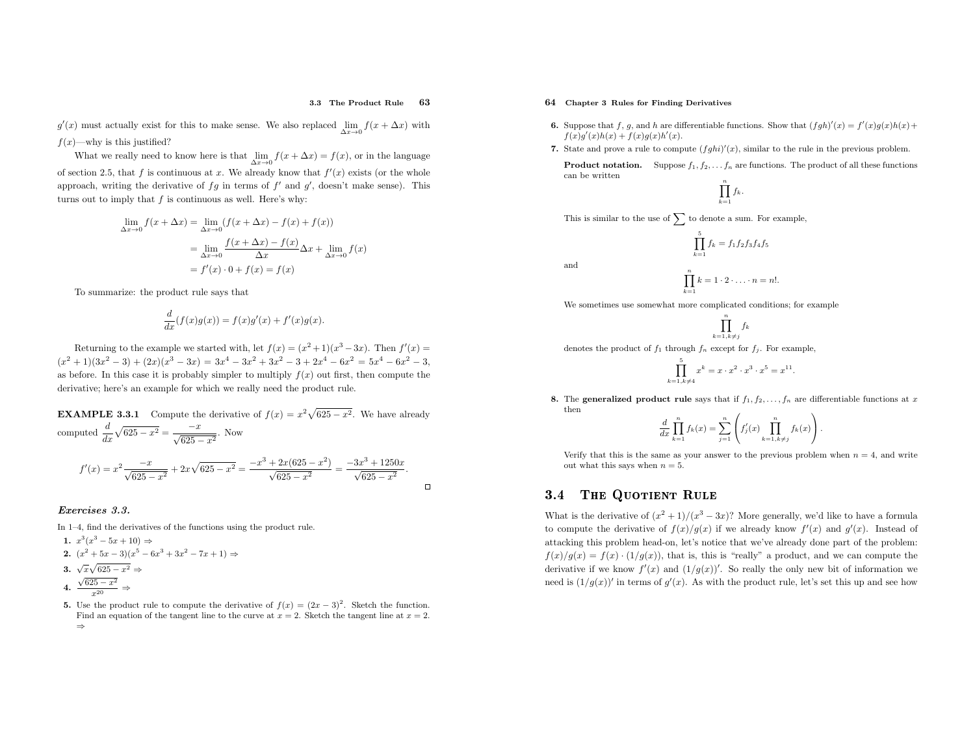#### 3.3 The Product Rule<sup>63</sup>

 $g'(x)$  must actually exist for this to make sense. We also replaced  $\lim_{\Delta x \to 0} f(x + \Delta x)$  with  $f(x)$ —why is this justified?

What we really need to know here is that  $\lim_{\Delta x \to 0} f(x + \Delta x) = f(x)$ , or in the language of section 2.5, that f is continuous at x. We already know that  $f'(x)$  exists (or the whole approach, writing the derivative of  $fg$  in terms of  $f'$  and  $g'$ , doesn't make sense). This turns out to imply that  $f$  is continuous as well. Here's why:

$$
\lim_{\Delta x \to 0} f(x + \Delta x) = \lim_{\Delta x \to 0} (f(x + \Delta x) - f(x) + f(x))
$$

$$
= \lim_{\Delta x \to 0} \frac{f(x + \Delta x) - f(x)}{\Delta x} \Delta x + \lim_{\Delta x \to 0} f(x)
$$

$$
= f'(x) \cdot 0 + f(x) = f(x)
$$

To summarize: the product rule says that

$$
\frac{d}{dx}(f(x)g(x)) = f(x)g'(x) + f'(x)g(x).
$$

Returning to the example we started with, let  $f(x) = (x^2 + 1)(x^3 - 3x)$ . Then  $f'(x) =$  $(x^{2} + 1)(3x^{2} - 3) + (2x)(x^{3} - 3x) = 3x^{4} - 3x^{2} + 3x^{2} - 3 + 2x^{4} - 6x^{2} = 5x^{4} - 6x^{2} - 3,$ as before. In this case it is probably simpler to multiply  $f(x)$  out first, then compute the derivative; here's an example for which we really need the product rule.

**EXAMPLE 3.3.1** Compute the derivative of  $f(x) = x^2 \sqrt{625 - x^2}$ . We have already computed  $\frac{d}{dx}\sqrt{625 - x^2} = \frac{-x}{\sqrt{625 - x^2}}$ . Now  $\frac{3+2x(625-x^2)}{\sqrt{625-x^2}}$  $\frac{3x^3 + 1250x}{\sqrt{625 - x^2}}$ .  $\frac{-3x}{2}$  $y'(x) = x^2 \frac{-x}{\sqrt{625 - x^2}} + 2x\sqrt{625 - x^2} =$  $\frac{-x}{-x}$ f  $\Box$ 

### Exercises 3.3.

In 1–4, find the derivatives of the functions using the product rule.

1. 
$$
x^3(x^3 - 5x + 10) \Rightarrow
$$
  
\n2.  $(x^2 + 5x - 3)(x^5 - 6x^3 + 3x^2 - 7x + 1) \Rightarrow$   
\n3.  $\sqrt{x}\sqrt{625 - x^2} \Rightarrow$   
\n4.  $\frac{\sqrt{625 - x^2}}{x^{20}} \Rightarrow$ 

5. Use the product rule to compute the derivative of  $f(x) = (2x - 3)^2$ . Sketch the function. Find an equation of the tangent line to the curve at  $x = 2$ . Sketch the tangent line at  $x = 2$ . ⇒

# 64 Chapter <sup>3</sup> Rules for Finding Derivatives

and

- **6.** Suppose that f, g, and h are differentiable functions. Show that  $(fgh)'(x) = f'(x)g(x)h(x) +$  $f(x)g'(x)h(x) + f(x)g(x)h'(x).$
- 7. State and prove a rule to compute  $(fghi)'(x)$ , similar to the rule in the previous problem.

**Product notation.** Suppose  $f_1, f_2, \ldots, f_n$  are functions. The product of all these functions can be written

$$
\prod_{k=1}^n f_k.
$$

This is similar to the use of  $\sum$  to denote a sum. For example,

$$
\prod_{k=1}^{5} f_k = f_1 f_2 f_3 f_4 f_5
$$
  

$$
\prod_{k=1}^{n} k = 1 \cdot 2 \cdot \ldots \cdot n = n!.
$$

We sometimes use somewhat more complicated conditions; for example

$$
\prod_{k=1, k\neq j}^{n} f_k
$$

denotes the product of  $f_1$  through  $f_n$  except for  $f_j$ . For example,

$$
\prod_{k=1, k \neq 4}^{5} x^{k} = x \cdot x^{2} \cdot x^{3} \cdot x^{5} = x^{11}.
$$

8. The generalized product rule says that if  $f_1, f_2, \ldots, f_n$  are differentiable functions at x then $\mathcal{L}$ 

$$
\frac{d}{dx} \prod_{k=1}^{n} f_k(x) = \sum_{j=1}^{n} \left( f'_j(x) \prod_{k=1, k \neq j}^{n} f_k(x) \right).
$$

Verify that this is the same as your answer to the previous problem when  $n = 4$ , and write out what this says when  $n = 5$ .

#### 3.4The Quotient Rule

What is the derivative of  $(x^2 + 1)/(x^3 - 3x)$ ? More generally, we'd like to have a formula to compute the derivative of  $f(x)/g(x)$  if we already know  $f'(x)$  and  $g'(x)$ . Instead of attacking this problem head-on, let's notice that we've already done part of the problem:  $f(x)/g(x) = f(x) \cdot (1/g(x))$ , that is, this is "really" a product, and we can compute the derivative if we know  $f'(x)$  and  $(1/g(x))'$ . So really the only new bit of information we need is  $(1/g(x))'$  in terms of  $g'(x)$ . As with the product rule, let's set this up and see how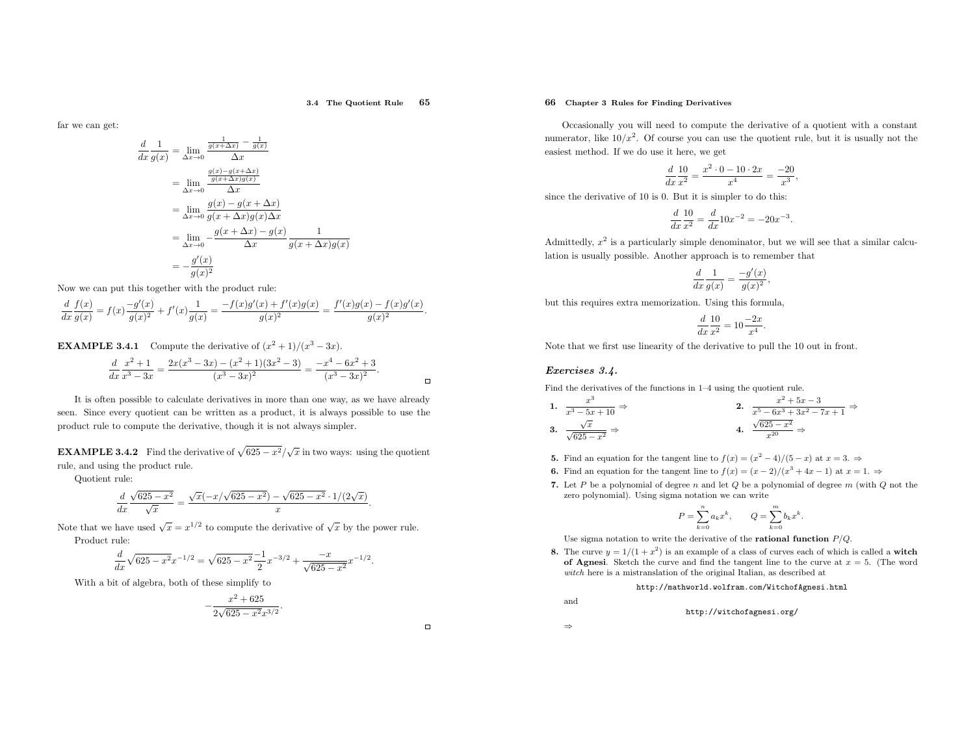#### 3.4 The Quotient Rule<sup>65</sup>

far we can get:

$$
\frac{1}{g(x)} = \lim_{\Delta x \to 0} \frac{\frac{1}{g(x + \Delta x)} - \frac{1}{g(x)}}{\Delta x}
$$
\n
$$
= \lim_{\Delta x \to 0} \frac{\frac{g(x) - g(x + \Delta x)}{g(x + \Delta x)g(x)}}{\Delta x}
$$
\n
$$
= \lim_{\Delta x \to 0} \frac{g(x) - g(x + \Delta x)}{g(x + \Delta x)g(x)\Delta x}
$$
\n
$$
= \lim_{\Delta x \to 0} -\frac{g(x + \Delta x) - g(x)}{\Delta x} \frac{1}{g(x + \Delta x)g(x)}
$$
\n
$$
= -\frac{g'(x)}{g(x)^2}
$$

Now we can put this together with the product rule:

 $\frac{d}{dx}$ 

$$
\frac{d}{dx}\frac{f(x)}{g(x)} = f(x)\frac{-g'(x)}{g(x)^2} + f'(x)\frac{1}{g(x)} = \frac{-f(x)g'(x) + f'(x)g(x)}{g(x)^2} = \frac{f'(x)g(x) - f(x)g'(x)}{g(x)^2}
$$

**EXAMPLE 3.4.1** Compute the derivative of  $(x^2 + 1)/(x^3 - 3x)$ .

$$
\frac{d}{dx}\frac{x^2+1}{x^3-3x} = \frac{2x(x^3-3x)-(x^2+1)(3x^2-3)}{(x^3-3x)^2} = \frac{-x^4-6x^2+3}{(x^3-3x)^2}.
$$

It is often possible to calculate derivatives in more than one way, as we have already seen. Since every quotient can be written as <sup>a</sup> product, it is always possible to use the product rule to compute the derivative, though it is not always simpler.

**EXAMPLE 3.4.2** Find the derivative of  $\sqrt{625 - x^2}/\sqrt{x}$  in two ways: using the quotient rule, and using the product rule.

Quotient rule:

$$
\frac{d}{dx}\frac{\sqrt{625-x^2}}{\sqrt{x}} = \frac{\sqrt{x}(-x/\sqrt{625-x^2}) - \sqrt{625-x^2} \cdot 1/(2\sqrt{x})}{x}.
$$

Note that we have used  $\sqrt{x} = x^{1/2}$  to compute the derivative of  $\sqrt{x}$  by the power rule. Product rule:

$$
\frac{d}{dx}\sqrt{625-x^2}x^{-1/2} = \sqrt{625-x^2}\frac{-1}{2}x^{-3/2} + \frac{-x}{\sqrt{625-x^2}}x^{-1/2}.
$$

With <sup>a</sup> bit of algebra, both of these simplify to

$$
-\frac{x^2 + 625}{2\sqrt{625 - x^2}x^{3/2}}.
$$

# 66 Chapter <sup>3</sup> Rules for Finding Derivatives

Occasionally you will need to compute the derivative of <sup>a</sup> quotient with <sup>a</sup> constant numerator, like  $10/x^2$ . Of course you can use the quotient rule, but it is usually not the easiest method. If we do use it here, we get

$$
\frac{d}{dx}\frac{10}{x^2} = \frac{x^2 \cdot 0 - 10 \cdot 2x}{x^4} = \frac{-20}{x^3},
$$

since the derivative of <sup>10</sup> is 0. But it is simpler to do this:

$$
\frac{d}{dx}\frac{10}{x^2} = \frac{d}{dx}10x^{-2} = -20x^{-3}
$$

Admittedly,  $x^2$  is a particularly simple denominator, but we will see that a similar calculation is usually possible. Another approac<sup>h</sup> is to remember that

$$
\frac{d}{dx}\frac{1}{g(x)} = \frac{-g'(x)}{g(x)^2},
$$

but this requires extra memorization. Using this formula,

$$
\frac{d}{dx}\frac{10}{x^2} = 10\frac{-2x}{x^4}.
$$

Note that we first use linearity of the derivative to pull the <sup>10</sup> out in front.

### Exercises 3.4.

Find the derivatives of the functions in 1–4 using the quotient rule.

1. 
$$
\frac{x^3}{x^3 - 5x + 10} \Rightarrow
$$
  
\n2. 
$$
\frac{x^2 + 5x - 3}{x^5 - 6x^3 + 3x^2 - 7x + 1} \Rightarrow
$$
  
\n3. 
$$
\frac{\sqrt{x}}{\sqrt{625 - x^2}} \Rightarrow
$$
  
\n4. 
$$
\frac{\sqrt{625 - x^2}}{x^{20}} \Rightarrow
$$

- **5.** Find an equation for the tangent line to  $f(x) = (x^2 4)/(5 x)$  at  $x = 3.$  ⇒
- **6.** Find an equation for the tangent line to  $f(x) = (x 2)/(x^3 + 4x 1)$  at  $x = 1$ .  $\Rightarrow$
- 7. Let P be a polynomial of degree n and let  $Q$  be a polynomial of degree  $m$  (with  $Q$  not the zero polynomial). Using sigma notation we can write

$$
P = \sum_{k=0}^{n} a_k x^k, \qquad Q = \sum_{k=0}^{m} b_k x^k
$$

Use sigma notation to write the derivative of the **rational function**  $P/Q$ .

8. The curve  $y = 1/(1 + x^2)$  is an example of a class of curves each of which is called a **witch** The curve  $y = 1/(1 + x)$  is an example of a class of curves each of which is called a **witch** of **Agnesi**. Sketch the curve and find the tangent line to the curve at  $x = 5$ . (The word witch here is <sup>a</sup> mistranslation of the original Italian, as described at

> http://mathworld.wolfram.com/WitchofAgnesi.htmlhttp://witchofagnesi.org/

and⇒

 $\Box$ 

 $\Box$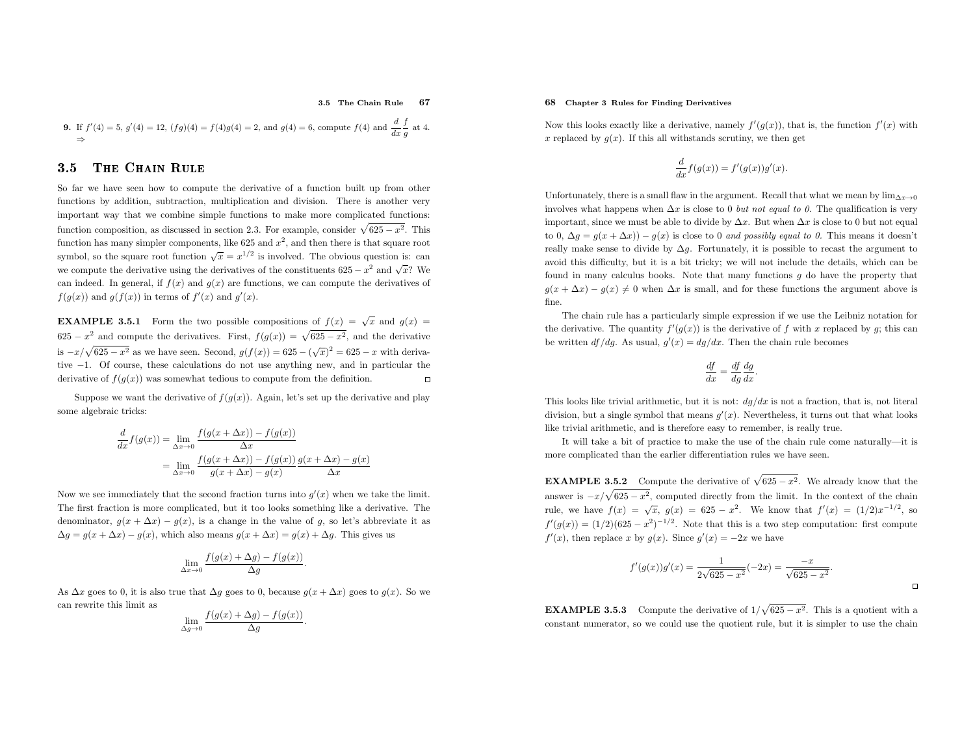#### 3.5 The Chain Rule<sup>67</sup>

**9.** If 
$$
f'(4) = 5
$$
,  $g'(4) = 12$ ,  $(fg)(4) = f(4)g(4) = 2$ , and  $g(4) = 6$ , compute  $f(4)$  and  $\frac{d}{dx} \frac{f}{g}$  at 4.

#### 3.55 THE CHAIN RULE

So far we have seen how to compute the derivative of <sup>a</sup> function built up from other functions by addition, subtraction, multiplication and division. There is another very important way that we combine simple functions to make more complicated functions: function composition, as discussed in section 2.3. For example, consider  $\sqrt{625 - x^2}$ . This function has many simpler components, like 625 and  $x^2$ , and then there is that square root symbol, so the square root function  $\sqrt{x} = x^{1/2}$  is involved. The obvious question is: can we compute the derivative using the derivatives of the constituents  $625 - x^2$  and  $\sqrt{x}$ ? We can indeed. In general, if  $f(x)$  and  $g(x)$  are functions, we can compute the derivatives of  $f(g(x))$  and  $g(f(x))$  in terms of  $f'(x)$  and  $g'(x)$ .

**EXAMPLE 3.5.1** Form the two possible compositions of  $f(x) = \sqrt{x}$  and  $g(x) =$ 625 -  $x^2$  and compute the derivatives. First,  $f(g(x)) = \sqrt{625 - x^2}$ , and the derivative is  $-x/\sqrt{625 - x^2}$  as we have seen. Second,  $g(f(x)) = 625 - (\sqrt{x})^2 = 625 - x$  with deriva- tive<sup>−</sup>1. Of course, these calculations do not use anything new, and in particular the derivative of  $f(q(x))$  was somewhat tedious to compute from the definition.  $\Box$ 

Suppose we want the derivative of  $f(q(x))$ . Again, let's set up the derivative and play some algebraic tricks:

$$
\frac{d}{dx}f(g(x)) = \lim_{\Delta x \to 0} \frac{f(g(x + \Delta x)) - f(g(x))}{\Delta x}
$$

$$
= \lim_{\Delta x \to 0} \frac{f(g(x + \Delta x)) - f(g(x))}{g(x + \Delta x) - g(x)} \frac{g(x + \Delta x) - g(x)}{\Delta x}
$$

Now we see immediately that the second fraction turns into  $g'(x)$  when we take the limit. The first fraction is more complicated, but it too looks something like <sup>a</sup> derivative. The denominator,  $g(x + \Delta x) - g(x)$ , is a change in the value of g, so let's abbreviate it as  $\Delta g = g(x + \Delta x) - g(x)$ , which also means  $g(x + \Delta x) = g(x) + \Delta g$ . This gives us

$$
\lim_{\Delta x \to 0} \frac{f(g(x) + \Delta g) - f(g(x))}{\Delta g}.
$$

As  $\Delta x$  goes to 0, it is also true that  $\Delta g$  goes to 0, because  $g(x + \Delta x)$  goes to  $g(x)$ . So we can rewrite this limit as

$$
\lim_{\Delta g \to 0} \frac{f(g(x) + \Delta g) - f(g(x))}{\Delta g}.
$$

# 68 Chapter <sup>3</sup> Rules for Finding Derivatives

Now this looks exactly like a derivative, namely  $f'(g(x))$ , that is, the function  $f'(x)$  with x replaced by  $g(x)$ . If this all withstands scrutiny, we then get

$$
\frac{d}{dx}f(g(x)) = f'(g(x))g'(x).
$$

Unfortunately, there is a small flaw in the argument. Recall that what we mean by  $\lim_{\Delta x \to 0}$ involves what happens when  $\Delta x$  is close to 0 *but not equal to 0*. The qualification is very important, since we must be able to divide by  $\Delta x$ . But when  $\Delta x$  is close to 0 but not equal to 0,  $\Delta g = g(x + \Delta x) - g(x)$  is close to 0 and possibly equal to 0. This means it doesn't really make sense to divide by  $\Delta q$ . Fortunately, it is possible to recast the argument to avoid this difficulty, but it is <sup>a</sup> bit tricky; we will not include the details, which can be found in many calculus books. Note that many functions  $q$  do have the property that  $g(x + \Delta x) - g(x) \neq 0$  when  $\Delta x$  is small, and for these functions the argument above is fine.

The chain rule has <sup>a</sup> particularly simple expression if we use the Leibniz notation for the derivative. The quantity  $f'(g(x))$  is the derivative of f with x replaced by g; this can be written  $df/dg$ . As usual,  $g'(x) = dg/dx$ . Then the chain rule becomes

$$
\frac{df}{dx} = \frac{df}{dg}\frac{dg}{dx}.
$$

This looks like trivial arithmetic, but it is not:  $dg/dx$  is not a fraction, that is, not literal division, but a single symbol that means  $g'(x)$ . Nevertheless, it turns out that what looks like trivial arithmetic, and is therefore easy to remember, is really true.

It will take <sup>a</sup> bit of practice to make the use of the chain rule come naturally—it is more complicated than the earlier differentiation rules we have seen.

**EXAMPLE 3.5.2** Compute the derivative of  $\sqrt{625 - x^2}$ . We already know that the answer is  $-x/\sqrt{625 - x^2}$ , computed directly from the limit. In the context of the chain rule, we have  $f(x) = \sqrt{x}$ ,  $g(x) = 625 - x^2$ . We know that  $f'(x) = (1/2)x^{-1/2}$ , so  $f'(g(x)) = (1/2)(625 - x^2)^{-1/2}$ . Note that this is a two step computation: first compute  $f'(x)$ , then replace x by  $g(x)$ . Since  $g'(x) = -2x$  we have

$$
f'(g(x))g'(x) = \frac{1}{2\sqrt{625 - x^2}}(-2x) = \frac{-x}{\sqrt{625 - x^2}}.
$$

**EXAMPLE 3.5.3** Compute the derivative of  $1/\sqrt{625 - x^2}$ . This is a quotient with a constant numerator, so we could use the quotient rule, but it is simpler to use the chain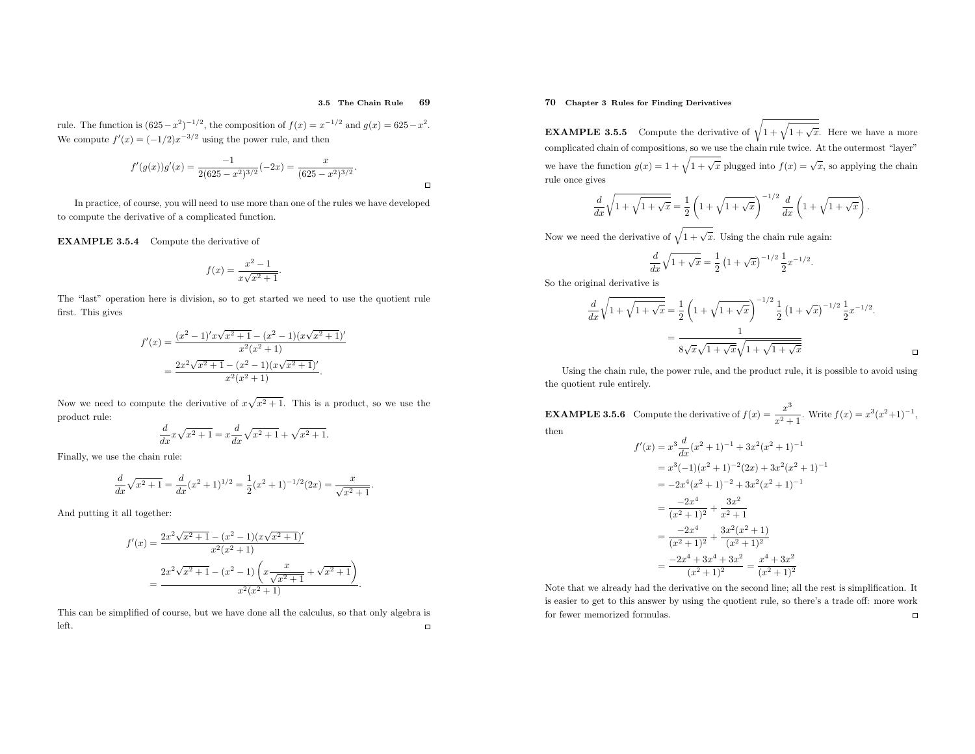#### 3.5 The Chain Rule<sup>69</sup>

 $\Box$ 

rule. The function is  $(625 - x^2)^{-1/2}$ , the composition of  $f(x) = x^{-1/2}$  and  $g(x) = 625 - x^2$ . We compute  $f'(x) = (-1/2)x^{-3/2}$  using the power rule, and then

$$
f'(g(x))g'(x) = \frac{-1}{2(625 - x^2)^{3/2}}(-2x) = \frac{x}{(625 - x^2)^{3/2}}.
$$

In practice, of course, you will need to use more than one of the rules we have developedto compute the derivative of <sup>a</sup> complicated function.

EXAMPLE 3.5.4 Compute the derivative of

$$
f(x) = \frac{x^2 - 1}{x\sqrt{x^2 + 1}}
$$

The "last" operation here is division, so to get started we need to use the quotient rule first. This <sup>g</sup>ives

$$
f'(x) = \frac{(x^2 - 1)'x\sqrt{x^2 + 1} - (x^2 - 1)(x\sqrt{x^2 + 1})'}{x^2(x^2 + 1)}
$$
  
= 
$$
\frac{2x^2\sqrt{x^2 + 1} - (x^2 - 1)(x\sqrt{x^2 + 1})'}{x^2(x^2 + 1)}.
$$

Now we need to compute the derivative of  $x\sqrt{x^2+1}$ . This is a product, so we use the product rule:

$$
\frac{d}{dx}x\sqrt{x^2+1} = x\frac{d}{dx}\sqrt{x^2+1} + \sqrt{x^2+1}.
$$

Finally, we use the chain rule:

$$
\frac{d}{dx}\sqrt{x^2+1} = \frac{d}{dx}(x^2+1)^{1/2} = \frac{1}{2}(x^2+1)^{-1/2}(2x) = \frac{x}{\sqrt{x^2+1}}
$$

And putting it all together:

$$
f'(x) = \frac{2x^2\sqrt{x^2+1} - (x^2-1)(x\sqrt{x^2+1})'}{x^2(x^2+1)}
$$
  
= 
$$
\frac{2x^2\sqrt{x^2+1} - (x^2-1)\left(x\frac{x}{\sqrt{x^2+1}} + \sqrt{x^2+1}\right)}{x^2(x^2+1)}.
$$

This can be simplified of course, but we have done all the calculus, so that only algebra is left. $\Box$ 

# 70 Chapter <sup>3</sup> Rules for Finding Derivatives

**EXAMPLE 3.5.5** Compute the derivative of  $\sqrt{1 + \sqrt{1 + \sqrt{x}}}$ . Here we have a more complicated chain of compositions, so we use the chain rule twice. At the outermost "layer" we have the function  $g(x) = 1 + \sqrt{1 + \sqrt{x}}$  plugged into  $f(x) = \sqrt{x}$ , so applying the chain rule once <sup>g</sup>ives

$$
\frac{d}{dx}\sqrt{1+\sqrt{1+\sqrt{x}}} = \frac{1}{2}\left(1+\sqrt{1+\sqrt{x}}\right)^{-1/2}\frac{d}{dx}\left(1+\sqrt{1+\sqrt{x}}\right)
$$

Now we need the derivative of  $\sqrt{1 + \sqrt{x}}$ . Using the chain rule again:

$$
\frac{d}{dx}\sqrt{1+\sqrt{x}} = \frac{1}{2}\left(1+\sqrt{x}\right)^{-1/2}\frac{1}{2}x^{-1/2}.
$$

So the original derivative is

$$
\frac{d}{dx}\sqrt{1+\sqrt{1+\sqrt{x}}} = \frac{1}{2}\left(1+\sqrt{1+\sqrt{x}}\right)^{-1/2}\frac{1}{2}\left(1+\sqrt{x}\right)^{-1/2}\frac{1}{2}x^{-1/2}.
$$
\n
$$
= \frac{1}{8\sqrt{x}\sqrt{1+\sqrt{x}}\sqrt{1+\sqrt{1+\sqrt{x}}}}.
$$

Using the chain rule, the power rule, and the product rule, it is possible to avoid using the quotient rule entirely.

**EXAMPLE 3.5.6** Compute the derivative of  $f(x) = \frac{x}{x^2}$ .  $\frac{x^3}{x^2+1}$ . Write  $f(x) = x^3(x^2+1)^{-1}$ , then

$$
f'(x) = x^3 \frac{d}{dx} (x^2 + 1)^{-1} + 3x^2 (x^2 + 1)^{-1}
$$
  
=  $x^3 (-1)(x^2 + 1)^{-2} (2x) + 3x^2 (x^2 + 1)^{-1}$   
=  $-2x^4 (x^2 + 1)^{-2} + 3x^2 (x^2 + 1)^{-1}$   
=  $\frac{-2x^4}{(x^2 + 1)^2} + \frac{3x^2}{x^2 + 1}$   
=  $\frac{-2x^4}{(x^2 + 1)^2} + \frac{3x^2 (x^2 + 1)}{(x^2 + 1)^2}$   
=  $\frac{-2x^4 + 3x^4 + 3x^2}{(x^2 + 1)^2} = \frac{x^4 + 3x^2}{(x^2 + 1)^2}$ 

Note that we already had the derivative on the second line; all the rest is simplification. It is easier to get to this answer by using the quotient rule, so there's <sup>a</sup> trade off: more work $\Box$ for fewer memorized formulas.